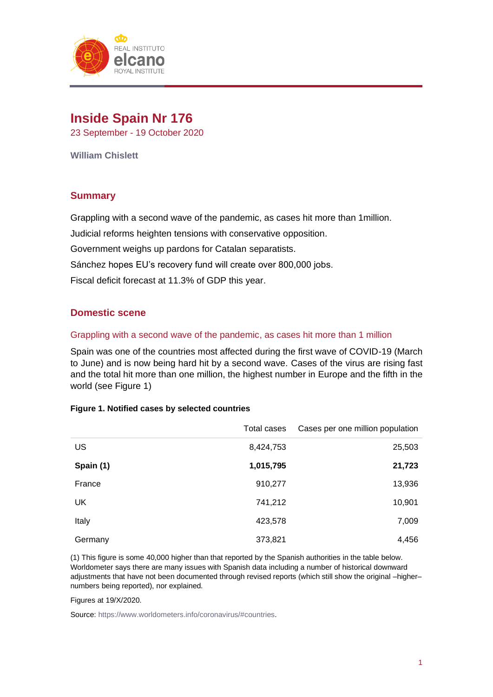

# **Inside Spain Nr 176**

23 September - 19 October 2020

**William Chislett** 

# **Summary**

Grappling with a second wave of the pandemic, as cases hit more than 1million.

Judicial reforms heighten tensions with conservative opposition.

Government weighs up pardons for Catalan separatists.

Sánchez hopes EU's recovery fund will create over 800,000 jobs.

Fiscal deficit forecast at 11.3% of GDP this year.

# **Domestic scene**

## Grappling with a second wave of the pandemic, as cases hit more than 1 million

Spain was one of the countries most affected during the first wave of COVID-19 (March to June) and is now being hard hit by a second wave. Cases of the virus are rising fast and the total hit more than one million, the highest number in Europe and the fifth in the world (see Figure 1)

|  |  |  |  |  | Figure 1. Notified cases by selected countries |
|--|--|--|--|--|------------------------------------------------|
|--|--|--|--|--|------------------------------------------------|

|           | Total cases | Cases per one million population |
|-----------|-------------|----------------------------------|
| US        | 8,424,753   | 25,503                           |
| Spain (1) | 1,015,795   | 21,723                           |
| France    | 910,277     | 13,936                           |
| UK        | 741,212     | 10,901                           |
| Italy     | 423,578     | 7,009                            |
| Germany   | 373,821     | 4,456                            |

(1) This figure is some 40,000 higher than that reported by the Spanish authorities in the table below. Worldometer says there are many issues with Spanish data including a number of historical downward adjustments that have not been documented through revised reports (which still show the original –higher– numbers being reported), nor explained.

Figures at 19/X/2020.

Source[: https://www.worldometers.info/coronavirus/#countries.](https://www.worldometers.info/coronavirus/#countries)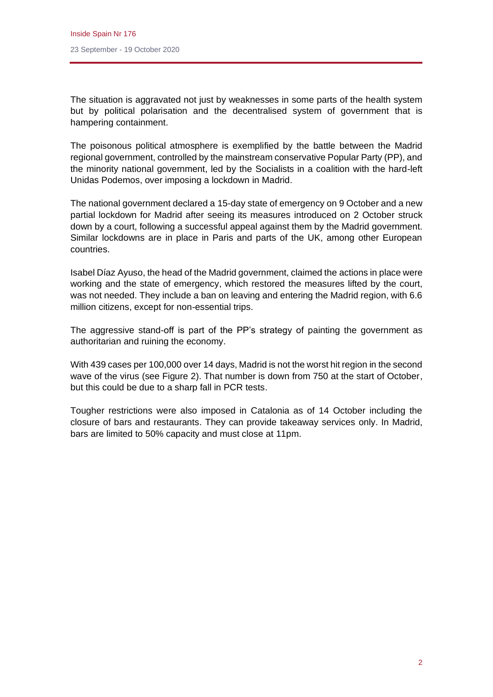The situation is aggravated not just by weaknesses in some parts of the health system but by political polarisation and the decentralised system of government that is hampering containment.

The poisonous political atmosphere is exemplified by the battle between the Madrid regional government, controlled by the mainstream conservative Popular Party (PP), and the minority national government, led by the Socialists in a coalition with the hard-left Unidas Podemos, over imposing a lockdown in Madrid.

The national government declared a 15-day state of emergency on 9 October and a new partial lockdown for Madrid after seeing its measures introduced on 2 October struck down by a court, following a successful appeal against them by the Madrid government. Similar lockdowns are in place in Paris and parts of the UK, among other European countries.

Isabel Díaz Ayuso, the head of the Madrid government, claimed the actions in place were working and the state of emergency, which restored the measures lifted by the court, was not needed. They include a ban on leaving and entering the Madrid region, with 6.6 million citizens, except for non-essential trips.

The aggressive stand-off is part of the PP's strategy of painting the government as authoritarian and ruining the economy.

With 439 cases per 100,000 over 14 days, Madrid is not the worst hit region in the second wave of the virus (see Figure 2). That number is down from 750 at the start of October, but this could be due to a sharp fall in PCR tests.

Tougher restrictions were also imposed in Catalonia as of 14 October including the closure of bars and restaurants. They can provide takeaway services only. In Madrid, bars are limited to 50% capacity and must close at 11pm.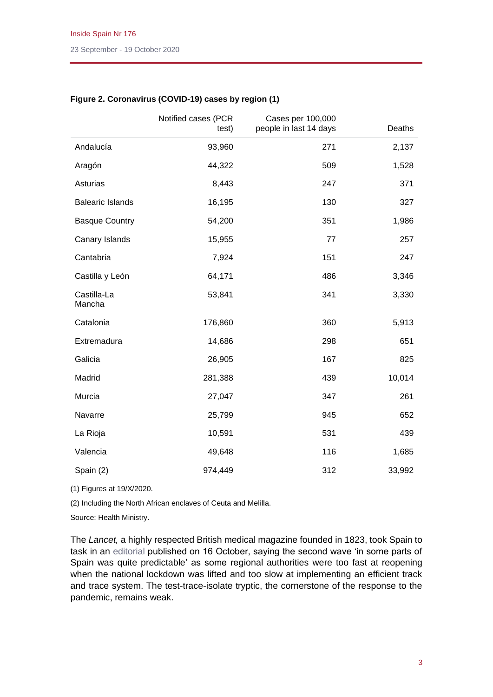|                         | Notified cases (PCR<br>test) | Cases per 100,000<br>people in last 14 days | Deaths |
|-------------------------|------------------------------|---------------------------------------------|--------|
| Andalucía               | 93,960                       | 271                                         | 2,137  |
| Aragón                  | 44,322                       | 509                                         | 1,528  |
| Asturias                | 8,443                        | 247                                         | 371    |
| <b>Balearic Islands</b> | 16,195                       | 130                                         | 327    |
| <b>Basque Country</b>   | 54,200                       | 351                                         | 1,986  |
| Canary Islands          | 15,955                       | 77                                          | 257    |
| Cantabria               | 7,924                        | 151                                         | 247    |
| Castilla y León         | 64,171                       | 486                                         | 3,346  |
| Castilla-La<br>Mancha   | 53,841                       | 341                                         | 3,330  |
| Catalonia               | 176,860                      | 360                                         | 5,913  |
| Extremadura             | 14,686                       | 298                                         | 651    |
| Galicia                 | 26,905                       | 167                                         | 825    |
| Madrid                  | 281,388                      | 439                                         | 10,014 |
| Murcia                  | 27,047                       | 347                                         | 261    |
| Navarre                 | 25,799                       | 945                                         | 652    |
| La Rioja                | 10,591                       | 531                                         | 439    |
| Valencia                | 49,648                       | 116                                         | 1,685  |
| Spain (2)               | 974,449                      | 312                                         | 33,992 |

## **Figure 2. Coronavirus (COVID-19) cases by region (1)**

(1) Figures at 19/X/2020.

(2) Including the North African enclaves of Ceuta and Melilla.

Source: Health Ministry.

The *Lancet,* a highly respected British medical magazine founded in 1823, took Spain to task in an [editorial](https://www.thelancet.com/action/showPdf?pii=S2468-2667%2820%2930239-5) published on 16 October, saying the second wave 'in some parts of Spain was quite predictable' as some regional authorities were too fast at reopening when the national lockdown was lifted and too slow at implementing an efficient track and trace system. The test-trace-isolate tryptic, the cornerstone of the response to the pandemic, remains weak.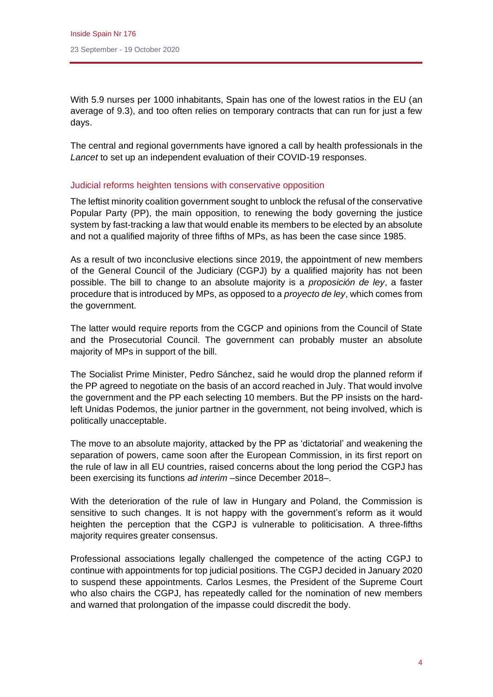With 5.9 nurses per 1000 inhabitants, Spain has one of the lowest ratios in the EU (an average of 9.3), and too often relies on temporary contracts that can run for just a few days.

The central and regional governments have ignored a call by health professionals in the *Lancet* to set up an independent evaluation of their COVID-19 responses.

## Judicial reforms heighten tensions with conservative opposition

The leftist minority coalition government sought to unblock the refusal of the conservative Popular Party (PP), the main opposition, to renewing the body governing the justice system by fast-tracking a law that would enable its members to be elected by an absolute and not a qualified majority of three fifths of MPs, as has been the case since 1985.

As a result of two inconclusive elections since 2019, the appointment of new members of the General Council of the Judiciary (CGPJ) by a qualified majority has not been possible. The bill to change to an absolute majority is a *proposición de ley*, a faster procedure that is introduced by MPs, as opposed to a *proyecto de ley*, which comes from the government.

The latter would require reports from the CGCP and opinions from the Council of State and the Prosecutorial Council. The government can probably muster an absolute majority of MPs in support of the bill.

The Socialist Prime Minister, Pedro Sánchez, said he would drop the planned reform if the PP agreed to negotiate on the basis of an accord reached in July. That would involve the government and the PP each selecting 10 members. But the PP insists on the hardleft Unidas Podemos, the junior partner in the government, not being involved, which is politically unacceptable.

The move to an absolute majority, attacked by the PP as 'dictatorial' and weakening the separation of powers, came soon after the European Commission, in its first report on the rule of law in all EU countries, raised concerns about the long period the CGPJ has been exercising its functions *ad interim* –since December 2018–.

With the deterioration of the rule of law in Hungary and Poland, the Commission is sensitive to such changes. It is not happy with the government's reform as it would heighten the perception that the CGPJ is vulnerable to politicisation. A three-fifths majority requires greater consensus.

Professional associations legally challenged the competence of the acting CGPJ to continue with appointments for top judicial positions. The CGPJ decided in January 2020 to suspend these appointments. Carlos Lesmes, the President of the Supreme Court who also chairs the CGPJ, has repeatedly called for the nomination of new members and warned that prolongation of the impasse could discredit the body.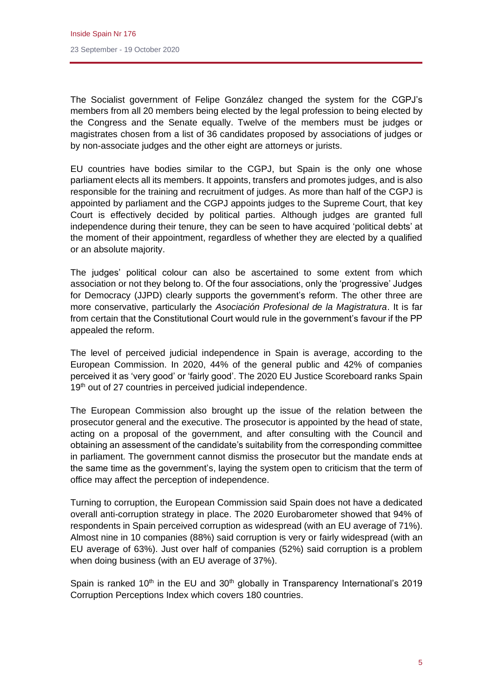The Socialist government of Felipe González changed the system for the CGPJ's members from all 20 members being elected by the legal profession to being elected by the Congress and the Senate equally. Twelve of the members must be judges or magistrates chosen from a list of 36 candidates proposed by associations of judges or by non-associate judges and the other eight are attorneys or jurists.

EU countries have bodies similar to the CGPJ, but Spain is the only one whose parliament elects all its members. It appoints, transfers and promotes judges, and is also responsible for the training and recruitment of judges. As more than half of the CGPJ is appointed by parliament and the CGPJ appoints judges to the Supreme Court, that key Court is effectively decided by political parties. Although judges are granted full independence during their tenure, they can be seen to have acquired 'political debts' at the moment of their appointment, regardless of whether they are elected by a qualified or an absolute majority.

The judges' political colour can also be ascertained to some extent from which association or not they belong to. Of the four associations, only the 'progressive' Judges for Democracy (JJPD) clearly supports the government's reform. The other three are more conservative, particularly the *Asociación Profesional de la Magistratura*. It is far from certain that the Constitutional Court would rule in the government's favour if the PP appealed the reform.

The level of perceived judicial independence in Spain is average, according to the European Commission. In 2020, 44% of the general public and 42% of companies perceived it as 'very good' or 'fairly good'. The 2020 EU Justice Scoreboard ranks Spain 19<sup>th</sup> out of 27 countries in perceived judicial independence.

The European Commission also brought up the issue of the relation between the prosecutor general and the executive. The prosecutor is appointed by the head of state, acting on a proposal of the government, and after consulting with the Council and obtaining an assessment of the candidate's suitability from the corresponding committee in parliament. The government cannot dismiss the prosecutor but the mandate ends at the same time as the government's, laying the system open to criticism that the term of office may affect the perception of independence.

Turning to corruption, the European Commission said Spain does not have a dedicated overall anti-corruption strategy in place. The 2020 Eurobarometer showed that 94% of respondents in Spain perceived corruption as widespread (with an EU average of 71%). Almost nine in 10 companies (88%) said corruption is very or fairly widespread (with an EU average of 63%). Just over half of companies (52%) said corruption is a problem when doing business (with an EU average of 37%).

Spain is ranked  $10<sup>th</sup>$  in the EU and  $30<sup>th</sup>$  globally in Transparency International's 2019 Corruption Perceptions Index which covers 180 countries.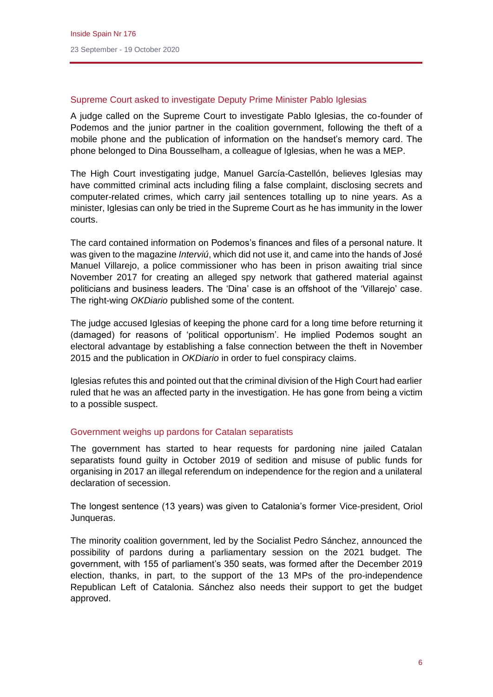## Supreme Court asked to investigate Deputy Prime Minister Pablo Iglesias

A judge called on the Supreme Court to investigate Pablo Iglesias, the co-founder of Podemos and the junior partner in the coalition government, following the theft of a mobile phone and the publication of information on the handset's memory card. The phone belonged to Dina Bousselham, a colleague of Iglesias, when he was a MEP.

The High Court investigating judge, Manuel García-Castellón, believes Iglesias may have committed criminal acts including filing a false complaint, disclosing secrets and computer-related crimes, which carry jail sentences totalling up to nine years. As a minister, Iglesias can only be tried in the Supreme Court as he has immunity in the lower courts.

The card contained information on Podemos's finances and files of a personal nature. It was given to the magazine *Interviú*, which did not use it, and came into the hands of José Manuel Villarejo, a police commissioner who has been in prison awaiting trial since November 2017 for creating an alleged spy network that gathered material against politicians and business leaders. The 'Dina' case is an offshoot of the 'Villarejo' case. The right-wing *OKDiario* published some of the content.

The judge accused Iglesias of keeping the phone card for a long time before returning it (damaged) for reasons of 'political opportunism'. He implied Podemos sought an electoral advantage by establishing a false connection between the theft in November 2015 and the publication in *OKDiario* in order to fuel conspiracy claims.

Iglesias refutes this and pointed out that the criminal division of the High Court had earlier ruled that he was an affected party in the investigation. He has gone from being a victim to a possible suspect.

## Government weighs up pardons for Catalan separatists

The government has started to hear requests for pardoning nine jailed Catalan separatists found guilty in October 2019 of sedition and misuse of public funds for organising in 2017 an illegal referendum on independence for the region and a unilateral declaration of secession.

The longest sentence (13 years) was given to Catalonia's former Vice-president, Oriol Junqueras.

The minority coalition government, led by the Socialist Pedro Sánchez, announced the possibility of pardons during a parliamentary session on the 2021 budget. The government, with 155 of parliament's 350 seats, was formed after the December 2019 election, thanks, in part, to the support of the 13 MPs of the pro-independence Republican Left of Catalonia. Sánchez also needs their support to get the budget approved.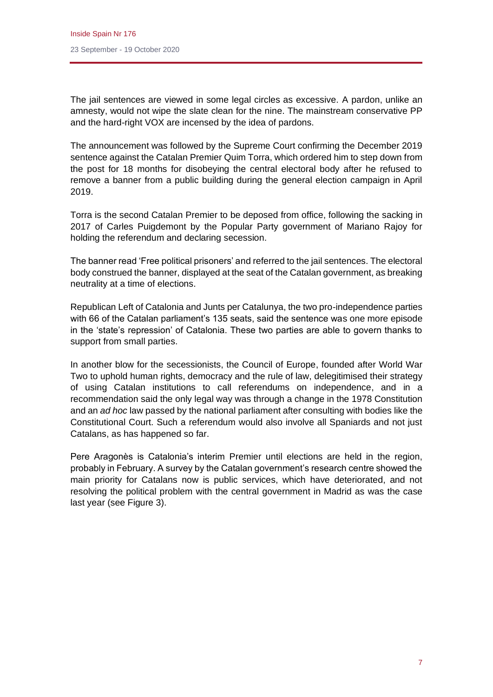The jail sentences are viewed in some legal circles as excessive. A pardon, unlike an amnesty, would not wipe the slate clean for the nine. The mainstream conservative PP and the hard-right VOX are incensed by the idea of pardons.

The announcement was followed by the Supreme Court confirming the December 2019 sentence against the Catalan Premier Quim Torra, which ordered him to step down from the post for 18 months for disobeying the central electoral body after he refused to remove a banner from a public building during the general election campaign in April 2019.

Torra is the second Catalan Premier to be deposed from office, following the sacking in 2017 of Carles Puigdemont by the Popular Party government of Mariano Rajoy for holding the referendum and declaring secession.

The banner read 'Free political prisoners' and referred to the jail sentences. The electoral body construed the banner, displayed at the seat of the Catalan government, as breaking neutrality at a time of elections.

Republican Left of Catalonia and Junts per Catalunya, the two pro-independence parties with 66 of the Catalan parliament's 135 seats, said the sentence was one more episode in the 'state's repression' of Catalonia. These two parties are able to govern thanks to support from small parties.

In another blow for the secessionists, the Council of Europe, founded after World War Two to uphold human rights, democracy and the rule of law, delegitimised their strategy of using Catalan institutions to call referendums on independence, and in a recommendation said the only legal way was through a change in the 1978 Constitution and an *ad hoc* law passed by the national parliament after consulting with bodies like the Constitutional Court. Such a referendum would also involve all Spaniards and not just Catalans, as has happened so far.

Pere Aragonès is Catalonia's interim Premier until elections are held in the region, probably in February. A survey by the Catalan government's research centre showed the main priority for Catalans now is public services, which have deteriorated, and not resolving the political problem with the central government in Madrid as was the case last year (see Figure 3).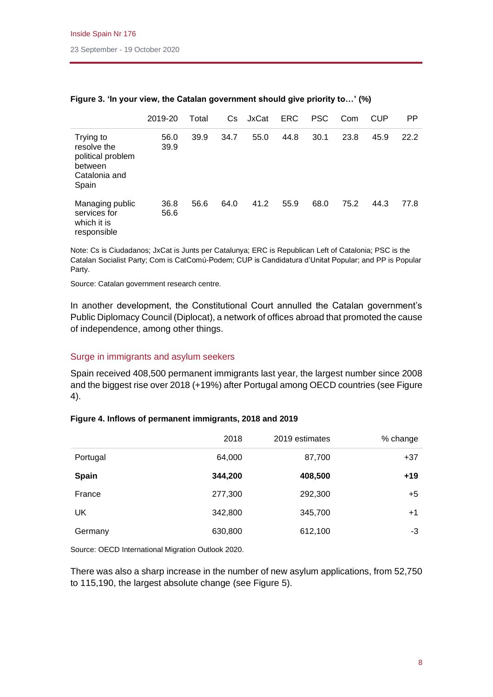|                                                                                    | 2019-20      | Total | Cs.  | JxCat | <b>ERC</b> | <b>PSC</b> | Com  | CUP  | <b>PP</b> |
|------------------------------------------------------------------------------------|--------------|-------|------|-------|------------|------------|------|------|-----------|
| Trying to<br>resolve the<br>political problem<br>between<br>Catalonia and<br>Spain | 56.0<br>39.9 | 39.9  | 34.7 | 55.0  | 44.8       | 30.1       | 23.8 | 45.9 | 22.2      |
| Managing public<br>services for<br>which it is<br>responsible                      | 36.8<br>56.6 | 56.6  | 64.0 | 41.2  | 55.9       | 68.0       | 75.2 | 44.3 | 77.8      |

## **Figure 3. 'In your view, the Catalan government should give priority to…' (%)**

Note: Cs is Ciudadanos; JxCat is Junts per Catalunya; ERC is Republican Left of Catalonia; PSC is the Catalan Socialist Party; Com is CatComú-Podem; CUP is Candidatura d'Unitat Popular; and PP is Popular Party.

Source: Catalan government research centre.

In another development, the Constitutional Court annulled the Catalan government's Public Diplomacy Council (Diplocat), a network of offices abroad that promoted the cause of independence, among other things.

#### Surge in immigrants and asylum seekers

Spain received 408,500 permanent immigrants last year, the largest number since 2008 and the biggest rise over 2018 (+19%) after Portugal among OECD countries (see Figure 4).

#### **Figure 4. Inflows of permanent immigrants, 2018 and 2019**

|          | 2018    | 2019 estimates | % change |
|----------|---------|----------------|----------|
| Portugal | 64,000  | 87,700         | $+37$    |
| Spain    | 344,200 | 408,500        | $+19$    |
| France   | 277,300 | 292,300        | $+5$     |
| UK       | 342,800 | 345,700        | $+1$     |
| Germany  | 630,800 | 612,100        | -3       |

Source: OECD International Migration Outlook 2020.

There was also a sharp increase in the number of new asylum applications, from 52,750 to 115,190, the largest absolute change (see Figure 5).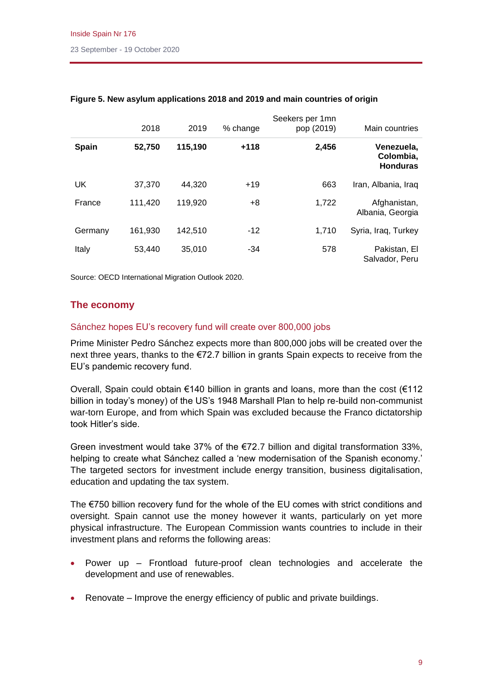|              | 2018    | 2019    | % change | Seekers per 1mn<br>pop (2019) | Main countries                             |
|--------------|---------|---------|----------|-------------------------------|--------------------------------------------|
| <b>Spain</b> | 52,750  | 115,190 | $+118$   | 2,456                         | Venezuela,<br>Colombia,<br><b>Honduras</b> |
| UK           | 37,370  | 44,320  | $+19$    | 663                           | Iran, Albania, Iraq                        |
| France       | 111,420 | 119,920 | +8       | 1,722                         | Afghanistan,<br>Albania, Georgia           |
| Germany      | 161,930 | 142,510 | -12      | 1.710                         | Syria, Iraq, Turkey                        |
| Italy        | 53,440  | 35,010  | $-34$    | 578                           | Pakistan, El<br>Salvador, Peru             |

## **Figure 5. New asylum applications 2018 and 2019 and main countries of origin**

Source: OECD International Migration Outlook 2020.

# **The economy**

## Sánchez hopes EU's recovery fund will create over 800,000 jobs

Prime Minister Pedro Sánchez expects more than 800,000 jobs will be created over the next three years, thanks to the €72.7 billion in grants Spain expects to receive from the EU's pandemic recovery fund.

Overall, Spain could obtain €140 billion in grants and loans, more than the cost (€112 billion in today's money) of the US's 1948 Marshall Plan to help re-build non-communist war-torn Europe, and from which Spain was excluded because the Franco dictatorship took Hitler's side.

Green investment would take 37% of the  $E$ 72.7 billion and digital transformation 33%, helping to create what Sánchez called a 'new modernisation of the Spanish economy.' The targeted sectors for investment include energy transition, business digitalisation, education and updating the tax system.

The €750 billion recovery fund for the whole of the EU comes with strict conditions and oversight. Spain cannot use the money however it wants, particularly on yet more physical infrastructure. The European Commission wants countries to include in their investment plans and reforms the following areas:

- Power up Frontload future-proof clean technologies and accelerate the development and use of renewables.
- Renovate Improve the energy efficiency of public and private buildings.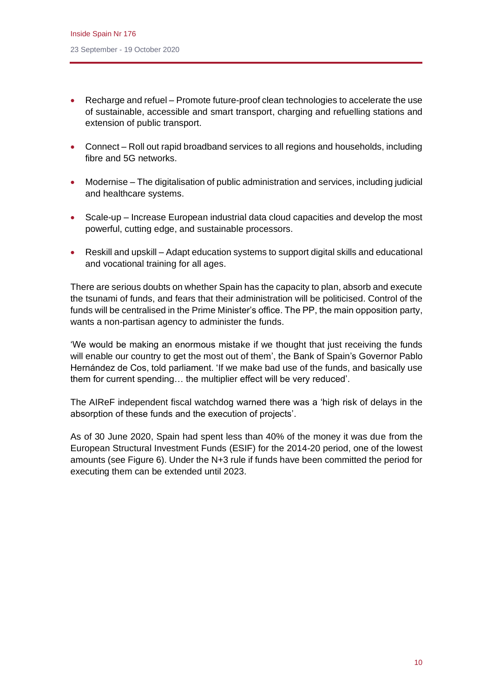- Recharge and refuel Promote future-proof clean technologies to accelerate the use of sustainable, accessible and smart transport, charging and refuelling stations and extension of public transport.
- Connect Roll out rapid broadband services to all regions and households, including fibre and 5G networks.
- Modernise The digitalisation of public administration and services, including judicial and healthcare systems.
- Scale-up Increase European industrial data cloud capacities and develop the most powerful, cutting edge, and sustainable processors.
- Reskill and upskill Adapt education systems to support digital skills and educational and vocational training for all ages.

There are serious doubts on whether Spain has the capacity to plan, absorb and execute the tsunami of funds, and fears that their administration will be politicised. Control of the funds will be centralised in the Prime Minister's office. The PP, the main opposition party, wants a non-partisan agency to administer the funds.

'We would be making an enormous mistake if we thought that just receiving the funds will enable our country to get the most out of them', the Bank of Spain's Governor Pablo Hernández de Cos, told parliament. 'If we make bad use of the funds, and basically use them for current spending… the multiplier effect will be very reduced'.

The AIReF independent fiscal watchdog warned there was a 'high risk of delays in the absorption of these funds and the execution of projects'.

As of 30 June 2020, Spain had spent less than 40% of the money it was due from the European Structural Investment Funds (ESIF) for the 2014-20 period, one of the lowest amounts (see Figure 6). Under the N+3 rule if funds have been committed the period for executing them can be extended until 2023.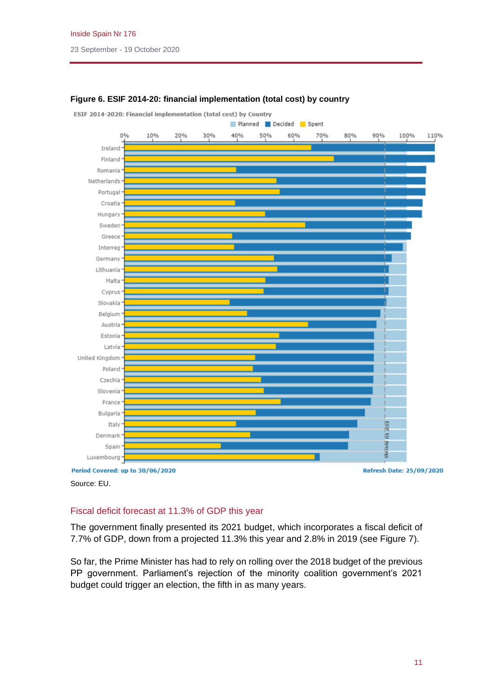

## **Figure 6. ESIF 2014-20: financial implementation (total cost) by country**

Source: EU.

Fiscal deficit forecast at 11.3% of GDP this year

The government finally presented its 2021 budget, which incorporates a fiscal deficit of 7.7% of GDP, down from a projected 11.3% this year and 2.8% in 2019 (see Figure 7).

So far, the Prime Minister has had to rely on rolling over the 2018 budget of the previous PP government. Parliament's rejection of the minority coalition government's 2021 budget could trigger an election, the fifth in as many years.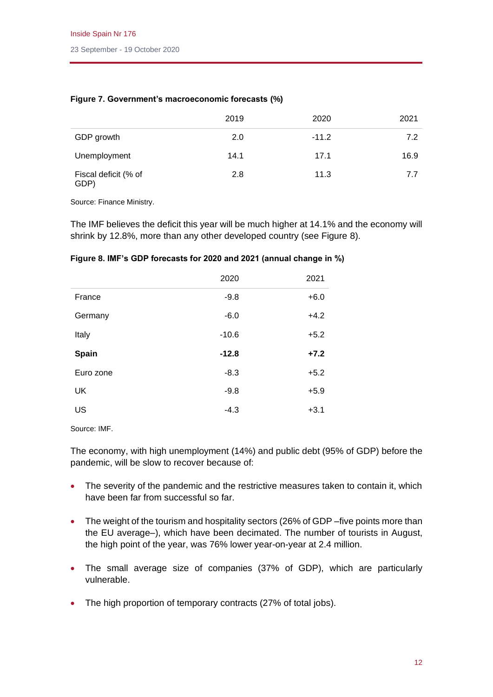|                              | 2019 | 2020    | 2021 |
|------------------------------|------|---------|------|
| GDP growth                   | 2.0  | $-11.2$ | 7.2  |
| Unemployment                 | 14.1 | 17.1    | 16.9 |
| Fiscal deficit (% of<br>GDP) | 2.8  | 11.3    | 7.7  |

## **Figure 7. Government's macroeconomic forecasts (%)**

Source: Finance Ministry.

The IMF believes the deficit this year will be much higher at 14.1% and the economy will shrink by 12.8%, more than any other developed country (see Figure 8).

| Figure 8. IMF's GDP forecasts for 2020 and 2021 (annual change in %) |  |  |  |  |  |  |  |  |  |
|----------------------------------------------------------------------|--|--|--|--|--|--|--|--|--|
|----------------------------------------------------------------------|--|--|--|--|--|--|--|--|--|

|           | 2020    | 2021   |
|-----------|---------|--------|
| France    | $-9.8$  | $+6.0$ |
| Germany   | $-6.0$  | $+4.2$ |
| Italy     | $-10.6$ | $+5.2$ |
| Spain     | $-12.8$ | $+7.2$ |
| Euro zone | $-8.3$  | $+5.2$ |
| <b>UK</b> | $-9.8$  | $+5.9$ |
| US        | $-4.3$  | $+3.1$ |

Source: IMF.

The economy, with high unemployment (14%) and public debt (95% of GDP) before the pandemic, will be slow to recover because of:

- The severity of the pandemic and the restrictive measures taken to contain it, which have been far from successful so far.
- The weight of the tourism and hospitality sectors (26% of GDP-five points more than the EU average–), which have been decimated. The number of tourists in August, the high point of the year, was 76% lower year-on-year at 2.4 million.
- The small average size of companies (37% of GDP), which are particularly vulnerable.
- The high proportion of temporary contracts (27% of total jobs).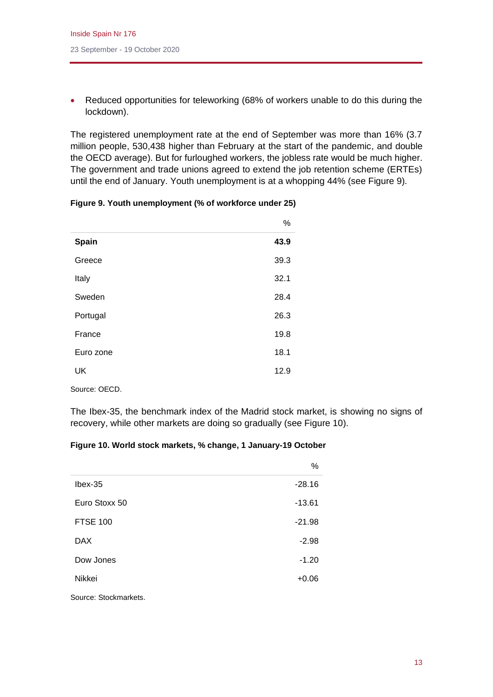• Reduced opportunities for teleworking (68% of workers unable to do this during the lockdown).

The registered unemployment rate at the end of September was more than 16% (3.7 million people, 530,438 higher than February at the start of the pandemic, and double the OECD average). But for furloughed workers, the jobless rate would be much higher. The government and trade unions agreed to extend the job retention scheme (ERTEs) until the end of January. Youth unemployment is at a whopping 44% (see Figure 9).

|           | $\frac{0}{0}$ |
|-----------|---------------|
| Spain     | 43.9          |
| Greece    | 39.3          |
| Italy     | 32.1          |
| Sweden    | 28.4          |
| Portugal  | 26.3          |
| France    | 19.8          |
| Euro zone | 18.1          |
| <b>UK</b> | 12.9          |
|           |               |

| Figure 9. Youth unemployment (% of workforce under 25) |  |  |  |  |  |  |  |
|--------------------------------------------------------|--|--|--|--|--|--|--|
|--------------------------------------------------------|--|--|--|--|--|--|--|

Source: OECD.

The Ibex-35, the benchmark index of the Madrid stock market, is showing no signs of recovery, while other markets are doing so gradually (see Figure 10).

## **Figure 10. World stock markets, % change, 1 January-19 October**

|                 | $\%$     |
|-----------------|----------|
| $l$ bex-35      | $-28.16$ |
| Euro Stoxx 50   | $-13.61$ |
| <b>FTSE 100</b> | $-21.98$ |
| <b>DAX</b>      | $-2.98$  |
| Dow Jones       | $-1.20$  |
| Nikkei          | $+0.06$  |
|                 |          |

Source: Stockmarkets.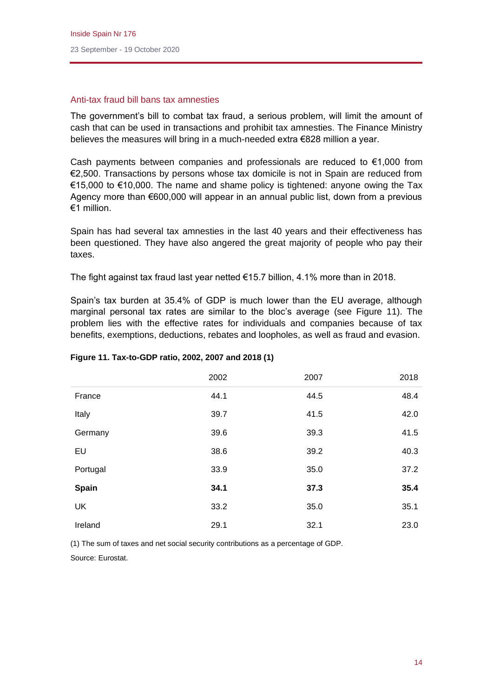## Anti-tax fraud bill bans tax amnesties

The government's bill to combat tax fraud, a serious problem, will limit the amount of cash that can be used in transactions and prohibit tax amnesties. The Finance Ministry believes the measures will bring in a much-needed extra €828 million a year.

Cash payments between companies and professionals are reduced to  $€1,000$  from €2,500. Transactions by persons whose tax domicile is not in Spain are reduced from €15,000 to €10,000. The name and shame policy is tightened: anyone owing the Tax Agency more than €600,000 will appear in an annual public list, down from a previous €1 million.

Spain has had several tax amnesties in the last 40 years and their effectiveness has been questioned. They have also angered the great majority of people who pay their taxes.

The fight against tax fraud last year netted €15.7 billion, 4.1% more than in 2018.

Spain's tax burden at 35.4% of GDP is much lower than the EU average, although marginal personal tax rates are similar to the bloc's average (see Figure 11). The problem lies with the effective rates for individuals and companies because of tax benefits, exemptions, deductions, rebates and loopholes, as well as fraud and evasion.

|              | 2002 | 2007 | 2018 |
|--------------|------|------|------|
| France       | 44.1 | 44.5 | 48.4 |
| Italy        | 39.7 | 41.5 | 42.0 |
| Germany      | 39.6 | 39.3 | 41.5 |
| EU           | 38.6 | 39.2 | 40.3 |
| Portugal     | 33.9 | 35.0 | 37.2 |
| <b>Spain</b> | 34.1 | 37.3 | 35.4 |
| <b>UK</b>    | 33.2 | 35.0 | 35.1 |
| Ireland      | 29.1 | 32.1 | 23.0 |

#### **Figure 11. Tax-to-GDP ratio, 2002, 2007 and 2018 (1)**

(1) The sum of taxes and net social security contributions as a percentage of GDP.

Source: Eurostat.